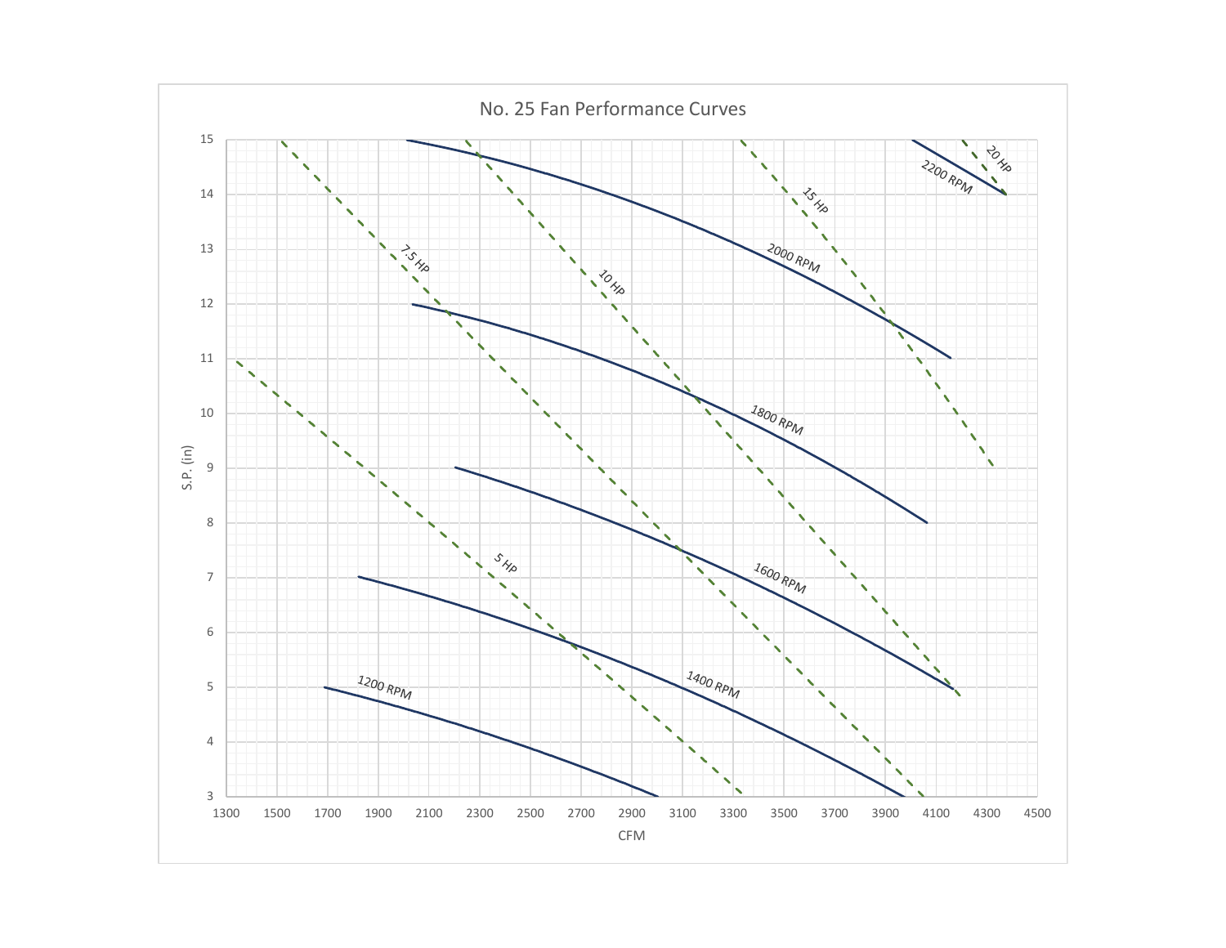